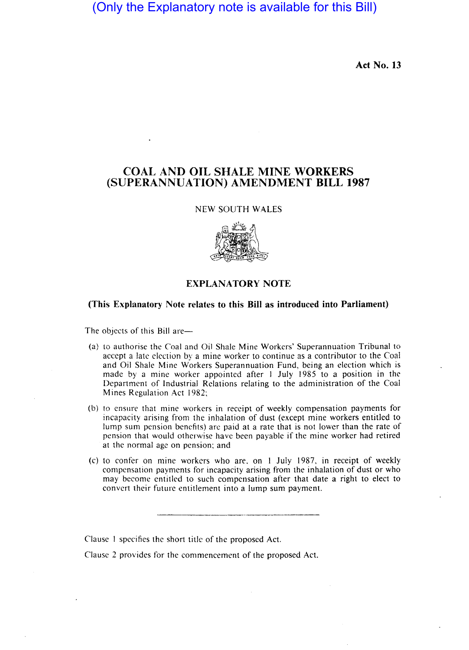# (Only the Explanatory note is available for this Bill)

Act No. 13

## COAL AND OIL SHALE MINE WORKERS (SUPERANNUATION) AMENDMENT BILL 1987

#### NEW SOUTH WALES



### EXPLANATORY NOTE

#### (This Explanatory Note relates to this Bill as introduced into Parliament)

The objects of this Bill are-

- (a) to authorise the Coal and Oil Shale Mine Workers' Superannuation Tribunal to accept a late election by a mine worker to continue as a contributor to the Coal and Oil Shale Mine Workers Superannuation Fund, being an election which is made by a mine worker appointed after 1 July 1985 to a position in the Department of Industrial Relations relating to the administration of the Coal Mines Regulation Act 1982;
- (b) to ensure that mine workers in receipt of weekly compensation payments for incapacity arising from the inhalation of dust (except mine workers entitled to lump sum pension benefits) are paid at a rate that is not lower than the rate of pension that would otherwise have been payable if the mine worker had retired at the normal age on pension; and
- (c) to confer on mine workers who are. on I July 1987, in receipt of weekly compensation payments for incapacity arising from the inhalation of dust or who may become entitled to such compensation after that date a right to elect to convert their future entitlement into a lump sum payment.

Clause I specifies the short title of the proposed Act.

Clause 2 provides for the commencement of the proposed Act.